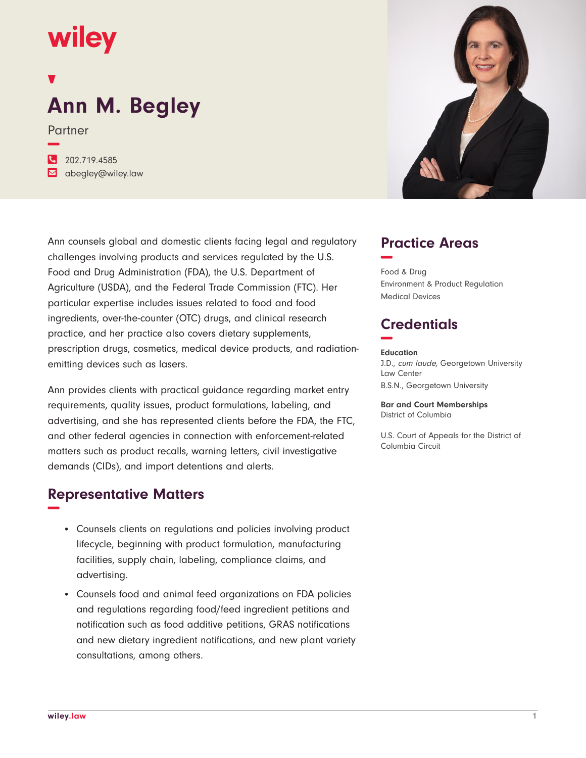## wiley

# **Ann M. Begley**

Partner

**−**

**�** 202.719.4585

**�** abegley@wiley.law

Ann counsels global and domestic clients facing legal and regulatory challenges involving products and services regulated by the U.S. Food and Drug Administration (FDA), the U.S. Department of Agriculture (USDA), and the Federal Trade Commission (FTC). Her particular expertise includes issues related to food and food ingredients, over-the-counter (OTC) drugs, and clinical research practice, and her practice also covers dietary supplements, prescription drugs, cosmetics, medical device products, and radiationemitting devices such as lasers.

Ann provides clients with practical guidance regarding market entry requirements, quality issues, product formulations, labeling, and advertising, and she has represented clients before the FDA, the FTC, and other federal agencies in connection with enforcement-related matters such as product recalls, warning letters, civil investigative demands (CIDs), and import detentions and alerts.

### **Representative Matters −**

- Counsels clients on regulations and policies involving product lifecycle, beginning with product formulation, manufacturing facilities, supply chain, labeling, compliance claims, and advertising.
- Counsels food and animal feed organizations on FDA policies and regulations regarding food/feed ingredient petitions and notification such as food additive petitions, GRAS notifications and new dietary ingredient notifications, and new plant variety consultations, among others.



#### **Practice Areas −**

Food & Drug Environment & Product Regulation Medical Devices

### **Credentials −**

#### **Education**

J.D., cum laude, Georgetown University Law Center B.S.N., Georgetown University

**Bar and Court Memberships** District of Columbia

U.S. Court of Appeals for the District of Columbia Circuit